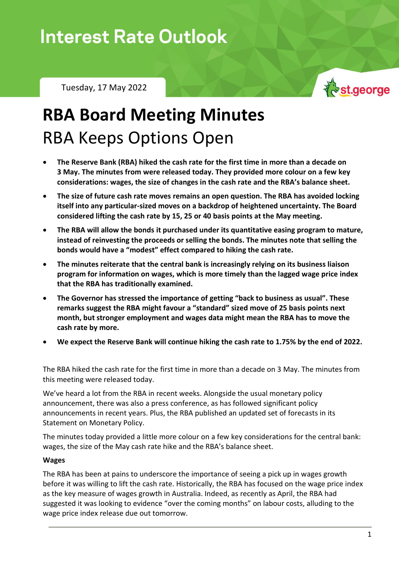# **Interest Rate Outlook**

Tuesday, 17 May 2022



# **RBA Board Meeting Minutes** RBA Keeps Options Open

- **The Reserve Bank (RBA) hiked the cash rate for the first time in more than a decade on 3 May. The minutes from were released today. They provided more colour on a few key considerations: wages, the size of changes in the cash rate and the RBA's balance sheet.**
- **The size of future cash rate moves remains an open question. The RBA has avoided locking itself into any particular-sized moves on a backdrop of heightened uncertainty. The Board considered lifting the cash rate by 15, 25 or 40 basis points at the May meeting.**
- **The RBA will allow the bonds it purchased under its quantitative easing program to mature, instead of reinvesting the proceeds or selling the bonds. The minutes note that selling the bonds would have a "modest" effect compared to hiking the cash rate.**
- **The minutes reiterate that the central bank is increasingly relying on its business liaison program for information on wages, which is more timely than the lagged wage price index that the RBA has traditionally examined.**
- **The Governor has stressed the importance of getting "back to business as usual". These remarks suggest the RBA might favour a "standard" sized move of 25 basis points next month, but stronger employment and wages data might mean the RBA has to move the cash rate by more.**
- **We expect the Reserve Bank will continue hiking the cash rate to 1.75% by the end of 2022.**

The RBA hiked the cash rate for the first time in more than a decade on 3 May. The minutes from this meeting were released today.

We've heard a lot from the RBA in recent weeks. Alongside the usual monetary policy announcement, there was also a press conference, as has followed significant policy announcements in recent years. Plus, the RBA published an updated set of forecasts in its Statement on Monetary Policy.

The minutes today provided a little more colour on a few key considerations for the central bank: wages, the size of the May cash rate hike and the RBA's balance sheet.

#### **Wages**

The RBA has been at pains to underscore the importance of seeing a pick up in wages growth before it was willing to lift the cash rate. Historically, the RBA has focused on the wage price index as the key measure of wages growth in Australia. Indeed, as recently as April, the RBA had suggested it was looking to evidence "over the coming months" on labour costs, alluding to the wage price index release due out tomorrow.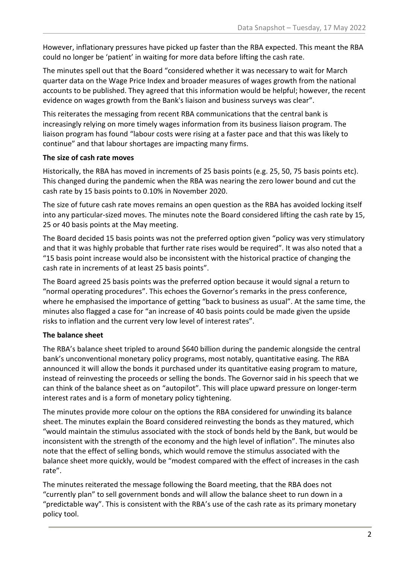However, inflationary pressures have picked up faster than the RBA expected. This meant the RBA could no longer be 'patient' in waiting for more data before lifting the cash rate.

The minutes spell out that the Board "considered whether it was necessary to wait for March quarter data on the Wage Price Index and broader measures of wages growth from the national accounts to be published. They agreed that this information would be helpful; however, the recent evidence on wages growth from the Bank's liaison and business surveys was clear".

This reiterates the messaging from recent RBA communications that the central bank is increasingly relying on more timely wages information from its business liaison program. The liaison program has found "labour costs were rising at a faster pace and that this was likely to continue" and that labour shortages are impacting many firms.

### **The size of cash rate moves**

Historically, the RBA has moved in increments of 25 basis points (e.g. 25, 50, 75 basis points etc). This changed during the pandemic when the RBA was nearing the zero lower bound and cut the cash rate by 15 basis points to 0.10% in November 2020.

The size of future cash rate moves remains an open question as the RBA has avoided locking itself into any particular-sized moves. The minutes note the Board considered lifting the cash rate by 15, 25 or 40 basis points at the May meeting.

The Board decided 15 basis points was not the preferred option given "policy was very stimulatory and that it was highly probable that further rate rises would be required". It was also noted that a "15 basis point increase would also be inconsistent with the historical practice of changing the cash rate in increments of at least 25 basis points".

The Board agreed 25 basis points was the preferred option because it would signal a return to "normal operating procedures". This echoes the Governor's remarks in the press conference, where he emphasised the importance of getting "back to business as usual". At the same time, the minutes also flagged a case for "an increase of 40 basis points could be made given the upside risks to inflation and the current very low level of interest rates".

## **The balance sheet**

The RBA's balance sheet tripled to around \$640 billion during the pandemic alongside the central bank's unconventional monetary policy programs, most notably, quantitative easing. The RBA announced it will allow the bonds it purchased under its quantitative easing program to mature, instead of reinvesting the proceeds or selling the bonds. The Governor said in his speech that we can think of the balance sheet as on "autopilot". This will place upward pressure on longer-term interest rates and is a form of monetary policy tightening.

The minutes provide more colour on the options the RBA considered for unwinding its balance sheet. The minutes explain the Board considered reinvesting the bonds as they matured, which "would maintain the stimulus associated with the stock of bonds held by the Bank, but would be inconsistent with the strength of the economy and the high level of inflation". The minutes also note that the effect of selling bonds, which would remove the stimulus associated with the balance sheet more quickly, would be "modest compared with the effect of increases in the cash rate".

The minutes reiterated the message following the Board meeting, that the RBA does not "currently plan" to sell government bonds and will allow the balance sheet to run down in a "predictable way". This is consistent with the RBA's use of the cash rate as its primary monetary policy tool.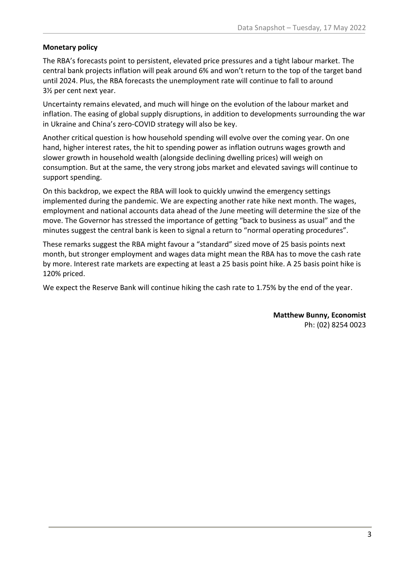### **Monetary policy**

The RBA's forecasts point to persistent, elevated price pressures and a tight labour market. The central bank projects inflation will peak around 6% and won't return to the top of the target band until 2024. Plus, the RBA forecasts the unemployment rate will continue to fall to around 3½ per cent next year.

Uncertainty remains elevated, and much will hinge on the evolution of the labour market and inflation. The easing of global supply disruptions, in addition to developments surrounding the war in Ukraine and China's zero-COVID strategy will also be key.

Another critical question is how household spending will evolve over the coming year. On one hand, higher interest rates, the hit to spending power as inflation outruns wages growth and slower growth in household wealth (alongside declining dwelling prices) will weigh on consumption. But at the same, the very strong jobs market and elevated savings will continue to support spending.

On this backdrop, we expect the RBA will look to quickly unwind the emergency settings implemented during the pandemic. We are expecting another rate hike next month. The wages, employment and national accounts data ahead of the June meeting will determine the size of the move. The Governor has stressed the importance of getting "back to business as usual" and the minutes suggest the central bank is keen to signal a return to "normal operating procedures".

These remarks suggest the RBA might favour a "standard" sized move of 25 basis points next month, but stronger employment and wages data might mean the RBA has to move the cash rate by more. Interest rate markets are expecting at least a 25 basis point hike. A 25 basis point hike is 120% priced.

We expect the Reserve Bank will continue hiking the cash rate to 1.75% by the end of the year.

**Matthew Bunny, Economist** Ph: (02) 8254 0023